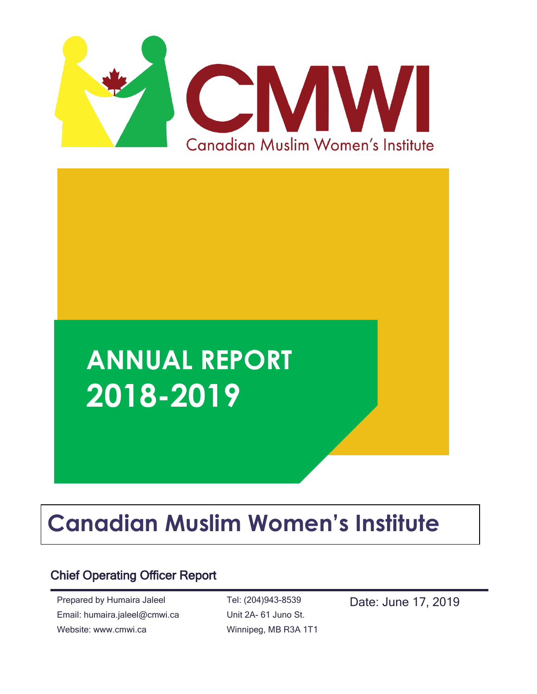

# **ANNUAL REPORT 2018-2019**

## **Canadian Muslim Women's Institute**

## Chief Operating Officer Report

Prepared by Humaira Jaleel Email: humaira.jaleel@cmwi.ca Website: www.cmwi.ca

Tel: (204)943-8539 Unit 2A- 61 Juno St. Winnipeg, MB R3A 1T1 Date: June 17, 2019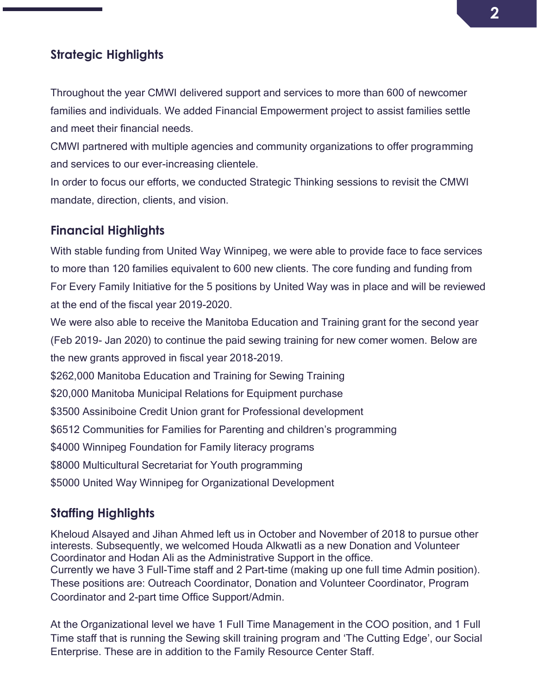## **Strategic Highlights**

Throughout the year CMWI delivered support and services to more than 600 of newcomer families and individuals. We added Financial Empowerment project to assist families settle and meet their financial needs.

CMWI partnered with multiple agencies and community organizations to offer programming and services to our ever-increasing clientele.

In order to focus our efforts, we conducted Strategic Thinking sessions to revisit the CMWI mandate, direction, clients, and vision.

#### **Financial Highlights**

With stable funding from United Way Winnipeg, we were able to provide face to face services to more than 120 families equivalent to 600 new clients. The core funding and funding from For Every Family Initiative for the 5 positions by United Way was in place and will be reviewed at the end of the fiscal year 2019-2020.

We were also able to receive the Manitoba Education and Training grant for the second year (Feb 2019- Jan 2020) to continue the paid sewing training for new comer women. Below are the new grants approved in fiscal year 2018-2019.

\$262,000 Manitoba Education and Training for Sewing Training

\$20,000 Manitoba Municipal Relations for Equipment purchase

\$3500 Assiniboine Credit Union grant for Professional development

\$6512 Communities for Families for Parenting and children's programming

\$4000 Winnipeg Foundation for Family literacy programs

\$8000 Multicultural Secretariat for Youth programming

\$5000 United Way Winnipeg for Organizational Development

## **Staffing Highlights**

Kheloud Alsayed and Jihan Ahmed left us in October and November of 2018 to pursue other interests. Subsequently, we welcomed Houda Alkwatli as a new Donation and Volunteer Coordinator and Hodan Ali as the Administrative Support in the office. Currently we have 3 Full-Time staff and 2 Part-time (making up one full time Admin position). These positions are: Outreach Coordinator, Donation and Volunteer Coordinator, Program Coordinator and 2-part time Office Support/Admin.

At the Organizational level we have 1 Full Time Management in the COO position, and 1 Full Time staff that is running the Sewing skill training program and 'The Cutting Edge', our Social Enterprise. These are in addition to the Family Resource Center Staff.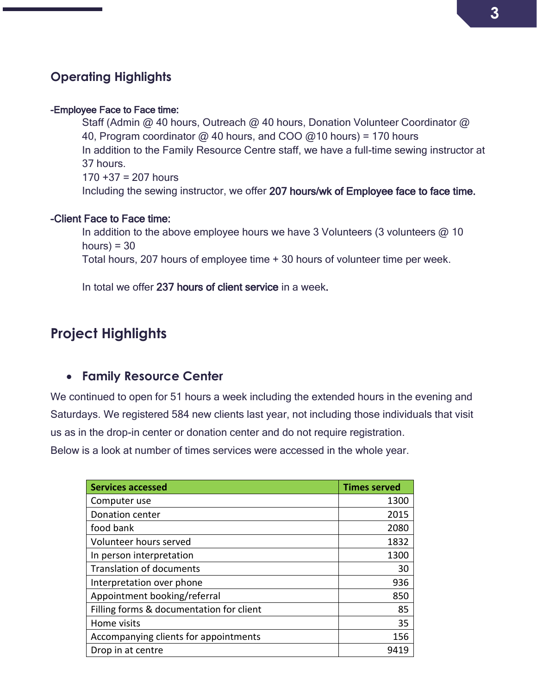## **Operating Highlights**

#### -Employee Face to Face time:

Staff (Admin @ 40 hours, Outreach @ 40 hours, Donation Volunteer Coordinator @ 40, Program coordinator  $\omega$  40 hours, and COO  $\omega$ 10 hours) = 170 hours In addition to the Family Resource Centre staff, we have a full-time sewing instructor at 37 hours.  $170 + 37 = 207$  hours Including the sewing instructor, we offer 207 hours/wk of Employee face to face time.

#### -Client Face to Face time:

In addition to the above employee hours we have 3 Volunteers (3 volunteers  $\omega$  10 hours) =  $30$ Total hours, 207 hours of employee time + 30 hours of volunteer time per week.

In total we offer 237 hours of client service in a week.

## **Project Highlights**

#### • **Family Resource Center**

We continued to open for 51 hours a week including the extended hours in the evening and Saturdays. We registered 584 new clients last year, not including those individuals that visit us as in the drop-in center or donation center and do not require registration.

Below is a look at number of times services were accessed in the whole year.

| <b>Services accessed</b>                 | <b>Times served</b> |
|------------------------------------------|---------------------|
| Computer use                             | 1300                |
| Donation center                          | 2015                |
| food bank                                | 2080                |
| Volunteer hours served                   | 1832                |
| In person interpretation                 | 1300                |
| <b>Translation of documents</b>          | 30                  |
| Interpretation over phone                | 936                 |
| Appointment booking/referral             | 850                 |
| Filling forms & documentation for client | 85                  |
| Home visits                              | 35                  |
| Accompanying clients for appointments    | 156                 |
| Drop in at centre                        | 9419                |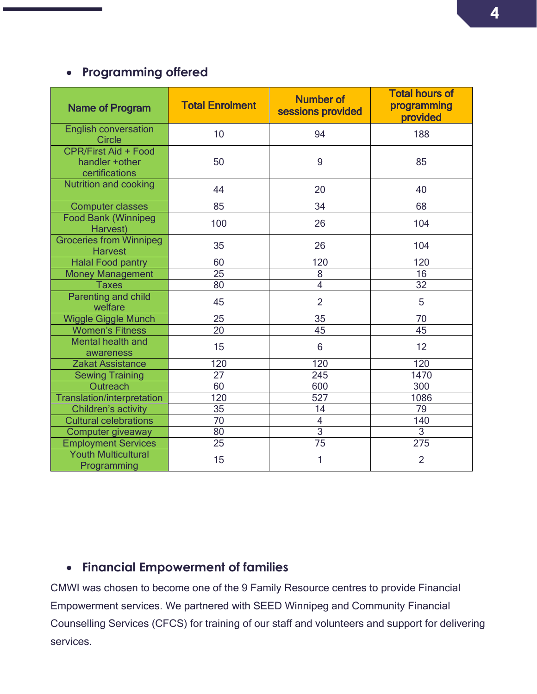## • **Programming offered**

| <b>Name of Program</b>                                           | <b>Total Enrolment</b> | <b>Number of</b><br>sessions provided | <b>Total hours of</b><br>programming<br>provided |
|------------------------------------------------------------------|------------------------|---------------------------------------|--------------------------------------------------|
| <b>English conversation</b><br><b>Circle</b>                     | 10                     | 94                                    | 188                                              |
| <b>CPR/First Aid + Food</b><br>handler + other<br>certifications | 50                     | 9                                     | 85                                               |
| <b>Nutrition and cooking</b>                                     | 44                     | 20                                    | 40                                               |
| <b>Computer classes</b>                                          | 85                     | 34                                    | 68                                               |
| <b>Food Bank (Winnipeg</b><br>Harvest)                           | 100                    | 26                                    | 104                                              |
| <b>Groceries from Winnipeg</b><br><b>Harvest</b>                 | 35                     | 26                                    | 104                                              |
| <b>Halal Food pantry</b>                                         | 60                     | 120                                   | 120                                              |
| <b>Money Management</b>                                          | 25                     | 8                                     | 16                                               |
| <b>Taxes</b>                                                     | 80                     | $\overline{4}$                        | 32                                               |
| <b>Parenting and child</b><br>welfare                            | 45                     | $\overline{2}$                        | 5                                                |
| <b>Wiggle Giggle Munch</b>                                       | 25                     | 35                                    | 70                                               |
| <b>Women's Fitness</b>                                           | $\overline{20}$        | 45                                    | 45                                               |
| Mental health and<br>awareness                                   | 15                     | 6                                     | 12                                               |
| <b>Zakat Assistance</b>                                          | 120                    | 120                                   | 120                                              |
| <b>Sewing Training</b>                                           | 27                     | 245                                   | 1470                                             |
| Outreach                                                         | 60                     | 600                                   | 300                                              |
| <b>Translation/interpretation</b>                                | 120                    | 527                                   | 1086                                             |
| Children's activity                                              | 35                     | 14                                    | 79                                               |
| <b>Cultural celebrations</b>                                     | $\overline{70}$        | $\overline{4}$                        | 140                                              |
| Computer giveaway                                                | 80                     | $\overline{3}$                        | $\mathfrak{S}$                                   |
| <b>Employment Services</b>                                       | $\overline{25}$        | 75                                    | 275                                              |
| <b>Youth Multicultural</b><br>Programming                        | 15                     | 1                                     | $\overline{2}$                                   |

## • **Financial Empowerment of families**

CMWI was chosen to become one of the 9 Family Resource centres to provide Financial Empowerment services. We partnered with SEED Winnipeg and Community Financial Counselling Services (CFCS) for training of our staff and volunteers and support for delivering services.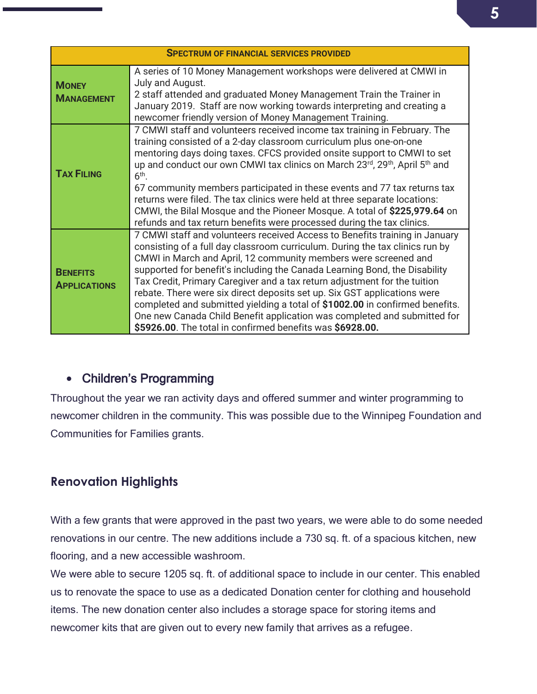| <b>SPECTRUM OF FINANCIAL SERVICES PROVIDED</b> |                                                                                                                                                                                                                                                                                                                                                                                                                                                                                                                                                                                                                                                                                                |  |
|------------------------------------------------|------------------------------------------------------------------------------------------------------------------------------------------------------------------------------------------------------------------------------------------------------------------------------------------------------------------------------------------------------------------------------------------------------------------------------------------------------------------------------------------------------------------------------------------------------------------------------------------------------------------------------------------------------------------------------------------------|--|
| <b>MONEY</b><br><b>MANAGEMENT</b>              | A series of 10 Money Management workshops were delivered at CMWI in<br>July and August.<br>2 staff attended and graduated Money Management Train the Trainer in<br>January 2019. Staff are now working towards interpreting and creating a<br>newcomer friendly version of Money Management Training.                                                                                                                                                                                                                                                                                                                                                                                          |  |
| <b>TAX FILING</b>                              | 7 CMWI staff and volunteers received income tax training in February. The<br>training consisted of a 2-day classroom curriculum plus one-on-one<br>mentoring days doing taxes. CFCS provided onsite support to CMWI to set<br>up and conduct our own CMWI tax clinics on March 23 <sup>rd</sup> , 29 <sup>th</sup> , April 5 <sup>th</sup> and<br>$6th$ .<br>67 community members participated in these events and 77 tax returns tax<br>returns were filed. The tax clinics were held at three separate locations:<br>CMWI, the Bilal Mosque and the Pioneer Mosque. A total of \$225,979.64 on<br>refunds and tax return benefits were processed during the tax clinics.                     |  |
| <b>BENEFITS</b><br><b>APPLICATIONS</b>         | 7 CMWI staff and volunteers received Access to Benefits training in January<br>consisting of a full day classroom curriculum. During the tax clinics run by<br>CMWI in March and April, 12 community members were screened and<br>supported for benefit's including the Canada Learning Bond, the Disability<br>Tax Credit, Primary Caregiver and a tax return adjustment for the tuition<br>rebate. There were six direct deposits set up. Six GST applications were<br>completed and submitted yielding a total of \$1002.00 in confirmed benefits.<br>One new Canada Child Benefit application was completed and submitted for<br>\$5926.00. The total in confirmed benefits was \$6928.00. |  |

## • Children's Programming

Throughout the year we ran activity days and offered summer and winter programming to newcomer children in the community. This was possible due to the Winnipeg Foundation and Communities for Families grants.

## **Renovation Highlights**

With a few grants that were approved in the past two years, we were able to do some needed renovations in our centre. The new additions include a 730 sq. ft. of a spacious kitchen, new flooring, and a new accessible washroom.

We were able to secure 1205 sq. ft. of additional space to include in our center. This enabled us to renovate the space to use as a dedicated Donation center for clothing and household items. The new donation center also includes a storage space for storing items and newcomer kits that are given out to every new family that arrives as a refugee.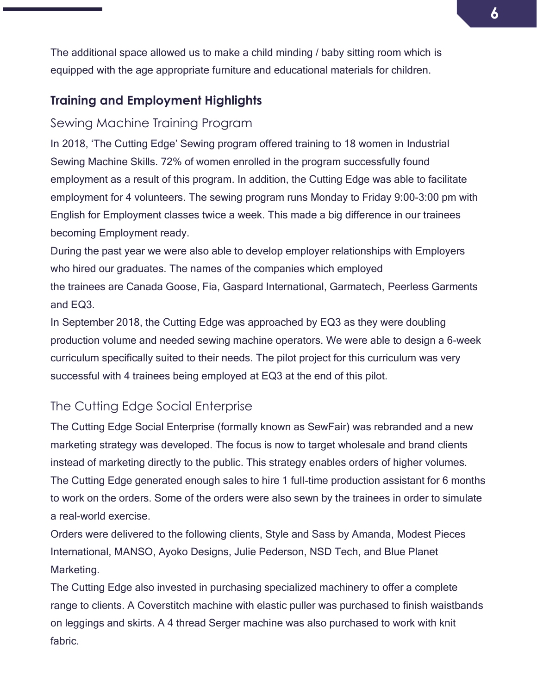The additional space allowed us to make a child minding / baby sitting room which is equipped with the age appropriate furniture and educational materials for children.

## **Training and Employment Highlights**

## Sewing Machine Training Program

In 2018, 'The Cutting Edge' Sewing program offered training to 18 women in Industrial Sewing Machine Skills. 72% of women enrolled in the program successfully found employment as a result of this program. In addition, the Cutting Edge was able to facilitate employment for 4 volunteers. The sewing program runs Monday to Friday 9:00-3:00 pm with English for Employment classes twice a week. This made a big difference in our trainees becoming Employment ready.

During the past year we were also able to develop employer relationships with Employers who hired our graduates. The names of the companies which employed the trainees are Canada Goose, Fia, Gaspard International, Garmatech, Peerless Garments and EQ3.

In September 2018, the Cutting Edge was approached by EQ3 as they were doubling production volume and needed sewing machine operators. We were able to design a 6-week curriculum specifically suited to their needs. The pilot project for this curriculum was very successful with 4 trainees being employed at EQ3 at the end of this pilot.

## The Cutting Edge Social Enterprise

The Cutting Edge Social Enterprise (formally known as SewFair) was rebranded and a new marketing strategy was developed. The focus is now to target wholesale and brand clients instead of marketing directly to the public. This strategy enables orders of higher volumes. The Cutting Edge generated enough sales to hire 1 full-time production assistant for 6 months to work on the orders. Some of the orders were also sewn by the trainees in order to simulate a real-world exercise.

Orders were delivered to the following clients, Style and Sass by Amanda, Modest Pieces International, MANSO, Ayoko Designs, Julie Pederson, NSD Tech, and Blue Planet Marketing.

The Cutting Edge also invested in purchasing specialized machinery to offer a complete range to clients. A Coverstitch machine with elastic puller was purchased to finish waistbands on leggings and skirts. A 4 thread Serger machine was also purchased to work with knit fabric.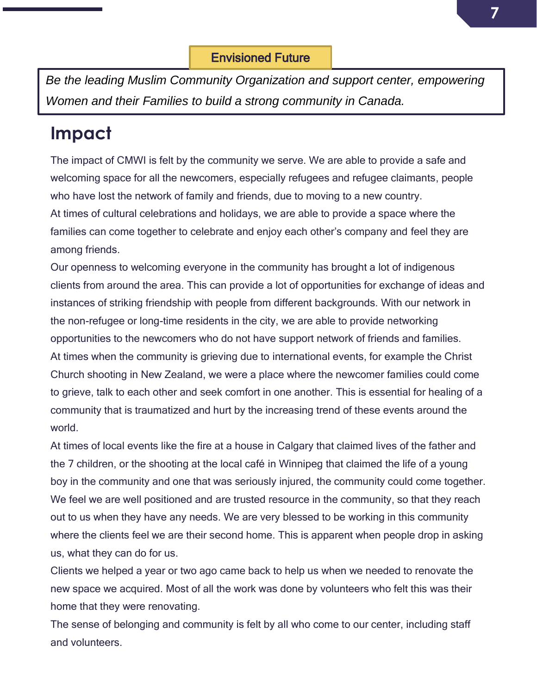*Be the leading Muslim Community Organization and support center, empowering Women and their Families to build a strong community in Canada.*

## **Impact**

The impact of CMWI is felt by the community we serve. We are able to provide a safe and welcoming space for all the newcomers, especially refugees and refugee claimants, people who have lost the network of family and friends, due to moving to a new country. At times of cultural celebrations and holidays, we are able to provide a space where the families can come together to celebrate and enjoy each other's company and feel they are among friends.

Our openness to welcoming everyone in the community has brought a lot of indigenous clients from around the area. This can provide a lot of opportunities for exchange of ideas and instances of striking friendship with people from different backgrounds. With our network in the non-refugee or long-time residents in the city, we are able to provide networking opportunities to the newcomers who do not have support network of friends and families. At times when the community is grieving due to international events, for example the Christ Church shooting in New Zealand, we were a place where the newcomer families could come to grieve, talk to each other and seek comfort in one another. This is essential for healing of a community that is traumatized and hurt by the increasing trend of these events around the world.

At times of local events like the fire at a house in Calgary that claimed lives of the father and the 7 children, or the shooting at the local café in Winnipeg that claimed the life of a young boy in the community and one that was seriously injured, the community could come together. We feel we are well positioned and are trusted resource in the community, so that they reach out to us when they have any needs. We are very blessed to be working in this community where the clients feel we are their second home. This is apparent when people drop in asking us, what they can do for us.

Clients we helped a year or two ago came back to help us when we needed to renovate the new space we acquired. Most of all the work was done by volunteers who felt this was their home that they were renovating.

The sense of belonging and community is felt by all who come to our center, including staff and volunteers.